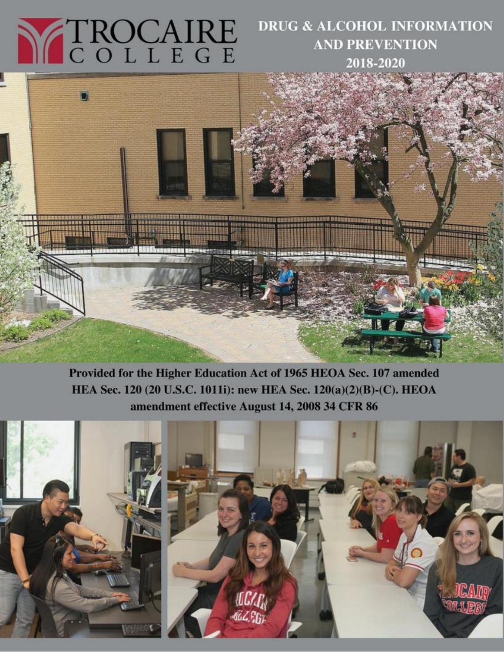# N TROCAIRE

# **DRUG & ALCOHOL INFORMATION AND PREVENTION** 2018-2020



Provided for the Higher Education Act of 1965 HEOA Sec. 107 amended HEA Sec. 120 (20 U.S.C. 1011i): new HEA Sec. 120(a)(2)(B)-(C). HEOA amendment effective August 14, 2008 34 CFR 86

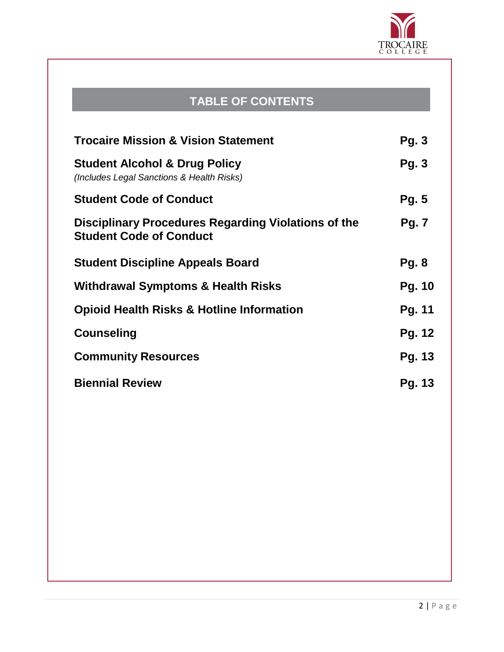

# **TABLE OF CONTENTS**

| <b>Trocaire Mission &amp; Vision Statement</b>                                        | <b>Pg. 3</b>  |
|---------------------------------------------------------------------------------------|---------------|
| <b>Student Alcohol &amp; Drug Policy</b><br>(Includes Legal Sanctions & Health Risks) | <b>Pg. 3</b>  |
| <b>Student Code of Conduct</b>                                                        | <b>Pg. 5</b>  |
| Disciplinary Procedures Regarding Violations of the<br><b>Student Code of Conduct</b> | <b>Pg. 7</b>  |
| <b>Student Discipline Appeals Board</b>                                               | <b>Pg. 8</b>  |
| Withdrawal Symptoms & Health Risks                                                    | Pg. 10        |
| <b>Opioid Health Risks &amp; Hotline Information</b>                                  | Pg. 11        |
| <b>Counseling</b>                                                                     | Pg. 12        |
| <b>Community Resources</b>                                                            | Pg. 13        |
| <b>Biennial Review</b>                                                                | <b>Pg. 13</b> |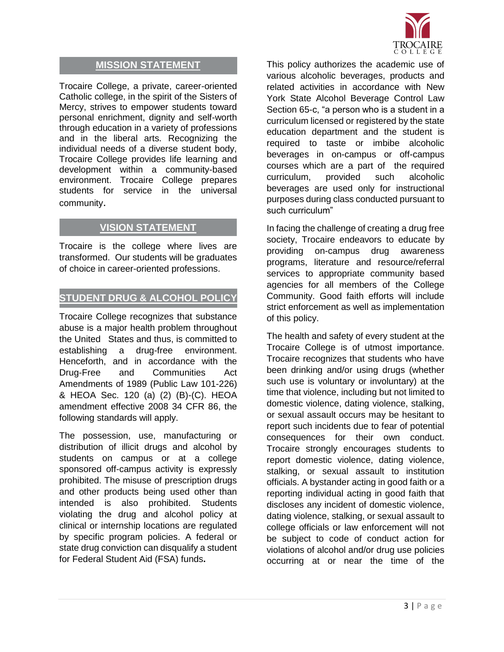

## **MISSION STATEMENT**

Trocaire College, a private, career-oriented Catholic college, in the spirit of the Sisters of Mercy, strives to empower students toward personal enrichment, dignity and self-worth through education in a variety of professions and in the liberal arts. Recognizing the individual needs of a diverse student body, Trocaire College provides life learning and development within a community-based environment. Trocaire College prepares students for service in the universal community.

## **VISION STATEMENT**

Trocaire is the college where lives are transformed. Our students will be graduates of choice in career-oriented professions.

## **STUDENT DRUG & ALCOHOL POLICY**

Trocaire College recognizes that substance abuse is a major health problem throughout the United States and thus, is committed to establishing a drug-free environment. Henceforth, and in accordance with the Drug-Free and Communities Act Amendments of 1989 (Public Law 101-226) & HEOA Sec. 120 (a) (2) (B)-(C). HEOA amendment effective 2008 34 CFR 86, the following standards will apply.

The possession, use, manufacturing or distribution of illicit drugs and alcohol by students on campus or at a college sponsored off-campus activity is expressly prohibited. The misuse of prescription drugs and other products being used other than intended is also prohibited. Students violating the drug and alcohol policy at clinical or internship locations are regulated by specific program policies. A federal or state drug conviction can disqualify a student for Federal Student Aid (FSA) funds**.** 

This policy authorizes the academic use of various alcoholic beverages, products and related activities in accordance with New York State Alcohol Beverage Control Law Section 65-c, "a person who is a student in a curriculum licensed or registered by the state education department and the student is required to taste or imbibe alcoholic beverages in on-campus or off-campus courses which are a part of the required curriculum, provided such alcoholic beverages are used only for instructional purposes during class conducted pursuant to such curriculum"

In facing the challenge of creating a drug free society, Trocaire endeavors to educate by providing on-campus drug awareness programs, literature and resource/referral services to appropriate community based agencies for all members of the College Community. Good faith efforts will include strict enforcement as well as implementation of this policy.

The health and safety of every student at the Trocaire College is of utmost importance. Trocaire recognizes that students who have been drinking and/or using drugs (whether such use is voluntary or involuntary) at the time that violence, including but not limited to domestic violence, dating violence, stalking, or sexual assault occurs may be hesitant to report such incidents due to fear of potential consequences for their own conduct. Trocaire strongly encourages students to report domestic violence, dating violence, stalking, or sexual assault to institution officials. A bystander acting in good faith or a reporting individual acting in good faith that discloses any incident of domestic violence, dating violence, stalking, or sexual assault to college officials or law enforcement will not be subject to code of conduct action for violations of alcohol and/or drug use policies occurring at or near the time of the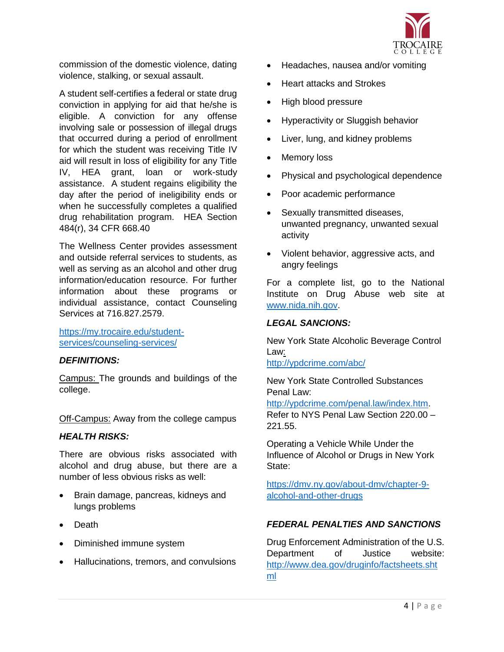

commission of the domestic violence, dating violence, stalking, or sexual assault.

A student self-certifies a federal or state drug conviction in applying for aid that he/she is eligible. A conviction for any offense involving sale or possession of illegal drugs that occurred during a period of enrollment for which the student was receiving Title IV aid will result in loss of eligibility for any Title IV, HEA grant, loan or work-study assistance. A student regains eligibility the day after the period of ineligibility ends or when he successfully completes a qualified drug rehabilitation program. HEA Section 484(r), 34 CFR 668.40

The Wellness Center provides assessment and outside referral services to students, as well as serving as an alcohol and other drug information/education resource. For further information about these programs or individual assistance, contact Counseling Services at 716.827.2579.

[https://my.trocaire.edu/student](https://my.trocaire.edu/student-services/counseling-services/)[services/counseling-services/](https://my.trocaire.edu/student-services/counseling-services/)

## *DEFINITIONS:*

Campus: The grounds and buildings of the college.

Off-Campus: Away from the college campus

#### *HEALTH RISKS:*

There are obvious risks associated with alcohol and drug abuse, but there are a number of less obvious risks as well:

- Brain damage, pancreas, kidneys and lungs problems
- Death
- Diminished immune system
- Hallucinations, tremors, and convulsions
- Headaches, nausea and/or vomiting
- Heart attacks and Strokes
- High blood pressure
- Hyperactivity or Sluggish behavior
- Liver, lung, and kidney problems
- Memory loss
- Physical and psychological dependence
- Poor academic performance
- Sexually transmitted diseases, unwanted pregnancy, unwanted sexual activity
- Violent behavior, aggressive acts, and angry feelings

For a complete list, go to the National Institute on Drug Abuse web site at [www.nida.nih.gov.](http://www.nida.nih.gov/)

#### *LEGAL SANCIONS:*

New York State Alcoholic Beverage Control Law:

<http://ypdcrime.com/abc/>

New York State Controlled Substances Penal Law:

[http://ypdcrime.com/penal.law/index.htm.](http://ypdcrime.com/penal.law/index.htm) Refer to NYS Penal Law Section 220.00 – 221.55.

Operating a Vehicle While Under the Influence of Alcohol or Drugs in New York State:

[https://dmv.ny.gov/about-dmv/chapter-9](https://dmv.ny.gov/about-dmv/chapter-9-alcohol-and-other-drugs) [alcohol-and-other-drugs](https://dmv.ny.gov/about-dmv/chapter-9-alcohol-and-other-drugs)

## *FEDERAL PENALTIES AND SANCTIONS*

Drug Enforcement Administration of the U.S. Department of Justice website: [http://www.dea.gov/druginfo/factsheets.sht](http://www.dea.gov/druginfo/factsheets.shtml) [ml](http://www.dea.gov/druginfo/factsheets.shtml)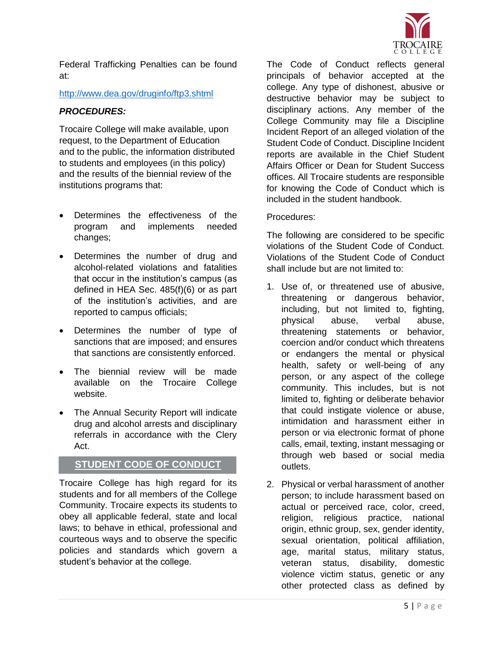

Federal Trafficking Penalties can be found at:

## <http://www.dea.gov/druginfo/ftp3.shtml>

## *PROCEDURES:*

Trocaire College will make available, upon request, to the Department of Education and to the public, the information distributed to students and employees (in this policy) and the results of the biennial review of the institutions programs that:

- Determines the effectiveness of the program and implements needed changes;
- Determines the number of drug and alcohol-related violations and fatalities that occur in the institution's campus (as defined in HEA Sec. 485(f)(6) or as part of the institution's activities, and are reported to campus officials;
- Determines the number of type of sanctions that are imposed; and ensures that sanctions are consistently enforced.
- The biennial review will be made available on the Trocaire College website.
- The Annual Security Report will indicate drug and alcohol arrests and disciplinary referrals in accordance with the Clery Act.

## **STUDENT CODE OF CONDUCT**

Trocaire College has high regard for its students and for all members of the College Community. Trocaire expects its students to obey all applicable federal, state and local laws; to behave in ethical, professional and courteous ways and to observe the specific policies and standards which govern a student's behavior at the college.

The Code of Conduct reflects general principals of behavior accepted at the college. Any type of dishonest, abusive or destructive behavior may be subject to disciplinary actions. Any member of the College Community may file a Discipline Incident Report of an alleged violation of the Student Code of Conduct. Discipline Incident reports are available in the Chief Student Affairs Officer or Dean for Student Success offices. All Trocaire students are responsible for knowing the Code of Conduct which is included in the student handbook.

## Procedures:

The following are considered to be specific violations of the Student Code of Conduct. Violations of the Student Code of Conduct shall include but are not limited to:

- 1. Use of, or threatened use of abusive, threatening or dangerous behavior, including, but not limited to, fighting, physical abuse, verbal abuse, threatening statements or behavior, coercion and/or conduct which threatens or endangers the mental or physical health, safety or well-being of any person, or any aspect of the college community. This includes, but is not limited to, fighting or deliberate behavior that could instigate violence or abuse, intimidation and harassment either in person or via electronic format of phone calls, email, texting, instant messaging or through web based or social media outlets.
- 2. Physical or verbal harassment of another person; to include harassment based on actual or perceived race, color, creed, religion, religious practice, national origin, ethnic group, sex, gender identity, sexual orientation, political affiliation, age, marital status, military status, veteran status, disability, domestic violence victim status, genetic or any other protected class as defined by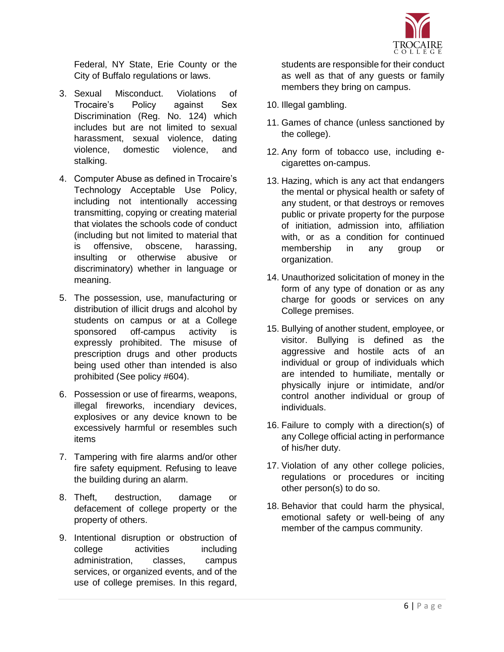

Federal, NY State, Erie County or the City of Buffalo regulations or laws.

- 3. Sexual Misconduct. Violations of Trocaire's Policy against Sex Discrimination (Reg. No. 124) which includes but are not limited to sexual harassment, sexual violence, dating violence, domestic violence, and stalking.
- 4. Computer Abuse as defined in Trocaire's Technology Acceptable Use Policy, including not intentionally accessing transmitting, copying or creating material that violates the schools code of conduct (including but not limited to material that is offensive, obscene, harassing, insulting or otherwise abusive or discriminatory) whether in language or meaning.
- 5. The possession, use, manufacturing or distribution of illicit drugs and alcohol by students on campus or at a College sponsored off-campus activity is expressly prohibited. The misuse of prescription drugs and other products being used other than intended is also prohibited (See policy #604).
- 6. Possession or use of firearms, weapons, illegal fireworks, incendiary devices, explosives or any device known to be excessively harmful or resembles such items
- 7. Tampering with fire alarms and/or other fire safety equipment. Refusing to leave the building during an alarm.
- 8. Theft, destruction, damage or defacement of college property or the property of others.
- 9. Intentional disruption or obstruction of college activities including administration, classes, campus services, or organized events, and of the use of college premises. In this regard,

students are responsible for their conduct as well as that of any guests or family members they bring on campus.

- 10. Illegal gambling.
- 11. Games of chance (unless sanctioned by the college).
- 12. Any form of tobacco use, including ecigarettes on-campus.
- 13. Hazing, which is any act that endangers the mental or physical health or safety of any student, or that destroys or removes public or private property for the purpose of initiation, admission into, affiliation with, or as a condition for continued membership in any group or organization.
- 14. Unauthorized solicitation of money in the form of any type of donation or as any charge for goods or services on any College premises.
- 15. Bullying of another student, employee, or visitor. Bullying is defined as the aggressive and hostile acts of an individual or group of individuals which are intended to humiliate, mentally or physically injure or intimidate, and/or control another individual or group of individuals.
- 16. Failure to comply with a direction(s) of any College official acting in performance of his/her duty.
- 17. Violation of any other college policies, regulations or procedures or inciting other person(s) to do so.
- 18. Behavior that could harm the physical, emotional safety or well-being of any member of the campus community.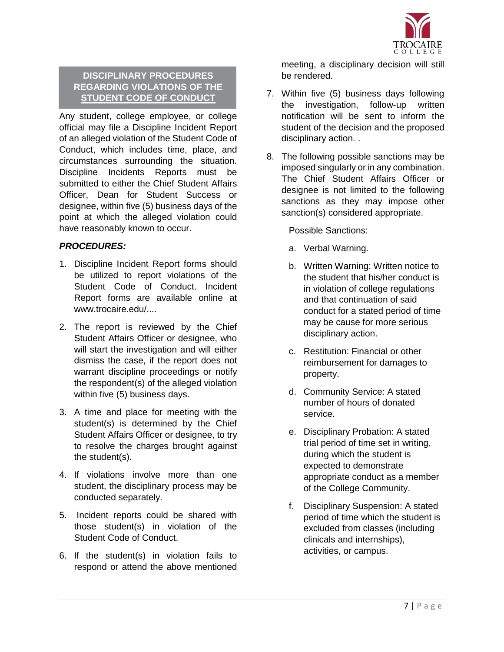

## **DISCIPLINARY PROCEDURES REGARDING VIOLATIONS OF THE STUDENT CODE OF CONDUCT**

Any student, college employee, or college official may file a Discipline Incident Report of an alleged violation of the Student Code of Conduct, which includes time, place, and circumstances surrounding the situation. Discipline Incidents Reports must be submitted to either the Chief Student Affairs Officer, Dean for Student Success or designee, within five (5) business days of the point at which the alleged violation could have reasonably known to occur.

## *PROCEDURES:*

- 1. Discipline Incident Report forms should be utilized to report violations of the Student Code of Conduct. Incident Report forms are available online at www.trocaire.edu/....
- 2. The report is reviewed by the Chief Student Affairs Officer or designee, who will start the investigation and will either dismiss the case, if the report does not warrant discipline proceedings or notify the respondent(s) of the alleged violation within five (5) business days.
- 3. A time and place for meeting with the student(s) is determined by the Chief Student Affairs Officer or designee, to try to resolve the charges brought against the student(s).
- 4. If violations involve more than one student, the disciplinary process may be conducted separately.
- 5. Incident reports could be shared with those student(s) in violation of the Student Code of Conduct.
- 6. If the student(s) in violation fails to respond or attend the above mentioned

meeting, a disciplinary decision will still be rendered.

- 7. Within five (5) business days following the investigation, follow-up written notification will be sent to inform the student of the decision and the proposed disciplinary action. .
- 8. The following possible sanctions may be imposed singularly or in any combination. The Chief Student Affairs Officer or designee is not limited to the following sanctions as they may impose other sanction(s) considered appropriate.

Possible Sanctions:

- a. Verbal Warning.
- b. Written Warning: Written notice to the student that his/her conduct is in violation of college regulations and that continuation of said conduct for a stated period of time may be cause for more serious disciplinary action.
- c. Restitution: Financial or other reimbursement for damages to property.
- d. Community Service: A stated number of hours of donated service.
- e. Disciplinary Probation: A stated trial period of time set in writing, during which the student is expected to demonstrate appropriate conduct as a member of the College Community.
- f. Disciplinary Suspension: A stated period of time which the student is excluded from classes (including clinicals and internships), activities, or campus.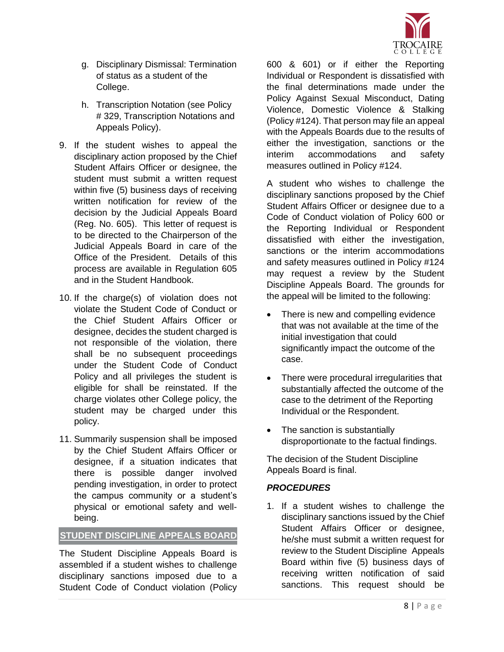

- g. Disciplinary Dismissal: Termination of status as a student of the College.
- h. Transcription Notation (see Policy # 329, Transcription Notations and Appeals Policy).
- 9. If the student wishes to appeal the disciplinary action proposed by the Chief Student Affairs Officer or designee, the student must submit a written request within five (5) business days of receiving written notification for review of the decision by the Judicial Appeals Board (Reg. No. 605). This letter of request is to be directed to the Chairperson of the Judicial Appeals Board in care of the Office of the President. Details of this process are available in Regulation 605 and in the Student Handbook.
- 10. If the charge(s) of violation does not violate the Student Code of Conduct or the Chief Student Affairs Officer or designee, decides the student charged is not responsible of the violation, there shall be no subsequent proceedings under the Student Code of Conduct Policy and all privileges the student is eligible for shall be reinstated. If the charge violates other College policy, the student may be charged under this policy.
- 11. Summarily suspension shall be imposed by the Chief Student Affairs Officer or designee, if a situation indicates that there is possible danger involved pending investigation, in order to protect the campus community or a student's physical or emotional safety and wellbeing.

## **STUDENT DISCIPLINE APPEALS BOARD**

The Student Discipline Appeals Board is assembled if a student wishes to challenge disciplinary sanctions imposed due to a Student Code of Conduct violation (Policy 600 & 601) or if either the Reporting Individual or Respondent is dissatisfied with the final determinations made under the Policy Against Sexual Misconduct, Dating Violence, Domestic Violence & Stalking (Policy #124). That person may file an appeal with the Appeals Boards due to the results of either the investigation, sanctions or the interim accommodations and safety measures outlined in Policy #124.

A student who wishes to challenge the disciplinary sanctions proposed by the Chief Student Affairs Officer or designee due to a Code of Conduct violation of Policy 600 or the Reporting Individual or Respondent dissatisfied with either the investigation, sanctions or the interim accommodations and safety measures outlined in Policy #124 may request a review by the Student Discipline Appeals Board. The grounds for the appeal will be limited to the following:

- There is new and compelling evidence that was not available at the time of the initial investigation that could significantly impact the outcome of the case.
- There were procedural irregularities that substantially affected the outcome of the case to the detriment of the Reporting Individual or the Respondent.
- The sanction is substantially disproportionate to the factual findings.

The decision of the Student Discipline Appeals Board is final.

## *PROCEDURES*

1. If a student wishes to challenge the disciplinary sanctions issued by the Chief Student Affairs Officer or designee, he/she must submit a written request for review to the Student Discipline Appeals Board within five (5) business days of receiving written notification of said sanctions. This request should be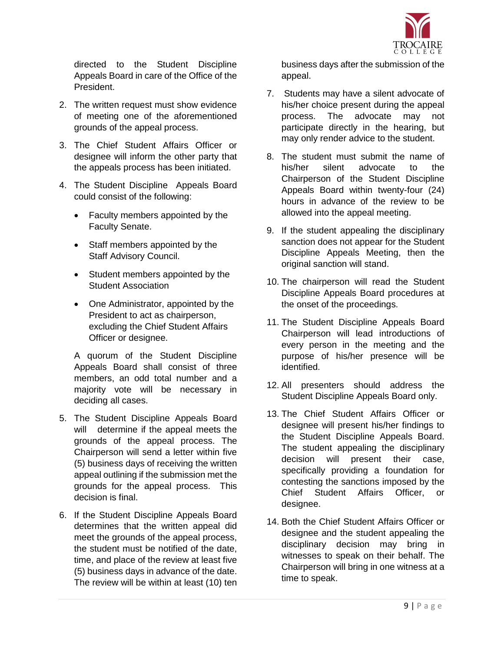

directed to the Student Discipline Appeals Board in care of the Office of the President.

- 2. The written request must show evidence of meeting one of the aforementioned grounds of the appeal process.
- 3. The Chief Student Affairs Officer or designee will inform the other party that the appeals process has been initiated.
- 4. The Student Discipline Appeals Board could consist of the following:
	- Faculty members appointed by the Faculty Senate.
	- Staff members appointed by the Staff Advisory Council.
	- Student members appointed by the Student Association
	- One Administrator, appointed by the President to act as chairperson, excluding the Chief Student Affairs Officer or designee.

A quorum of the Student Discipline Appeals Board shall consist of three members, an odd total number and a majority vote will be necessary in deciding all cases.

- 5. The Student Discipline Appeals Board will determine if the appeal meets the grounds of the appeal process. The Chairperson will send a letter within five (5) business days of receiving the written appeal outlining if the submission met the grounds for the appeal process. This decision is final.
- 6. If the Student Discipline Appeals Board determines that the written appeal did meet the grounds of the appeal process, the student must be notified of the date, time, and place of the review at least five (5) business days in advance of the date. The review will be within at least (10) ten

business days after the submission of the appeal.

- 7. Students may have a silent advocate of his/her choice present during the appeal process. The advocate may not participate directly in the hearing, but may only render advice to the student.
- 8. The student must submit the name of his/her silent advocate to the Chairperson of the Student Discipline Appeals Board within twenty-four (24) hours in advance of the review to be allowed into the appeal meeting.
- 9. If the student appealing the disciplinary sanction does not appear for the Student Discipline Appeals Meeting, then the original sanction will stand.
- 10. The chairperson will read the Student Discipline Appeals Board procedures at the onset of the proceedings.
- 11. The Student Discipline Appeals Board Chairperson will lead introductions of every person in the meeting and the purpose of his/her presence will be identified.
- 12. All presenters should address the Student Discipline Appeals Board only.
- 13. The Chief Student Affairs Officer or designee will present his/her findings to the Student Discipline Appeals Board. The student appealing the disciplinary decision will present their case, specifically providing a foundation for contesting the sanctions imposed by the Chief Student Affairs Officer, or designee.
- 14. Both the Chief Student Affairs Officer or designee and the student appealing the disciplinary decision may bring in witnesses to speak on their behalf. The Chairperson will bring in one witness at a time to speak.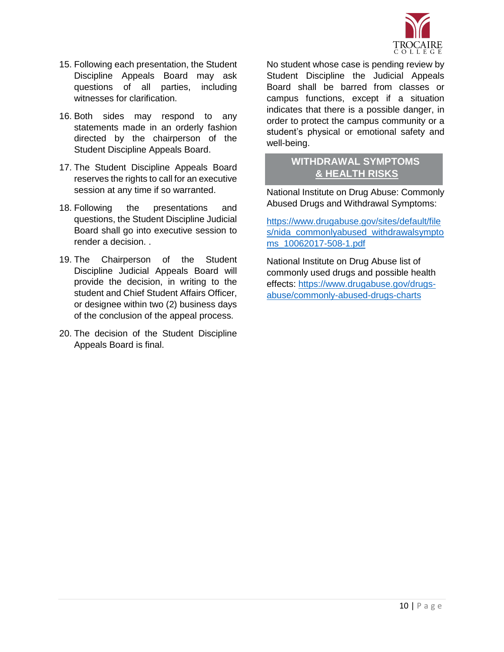

- 15. Following each presentation, the Student Discipline Appeals Board may ask questions of all parties, including witnesses for clarification.
- 16. Both sides may respond to any statements made in an orderly fashion directed by the chairperson of the Student Discipline Appeals Board.
- 17. The Student Discipline Appeals Board reserves the rights to call for an executive session at any time if so warranted.
- 18. Following the presentations and questions, the Student Discipline Judicial Board shall go into executive session to render a decision. .
- 19. The Chairperson of the Student Discipline Judicial Appeals Board will provide the decision, in writing to the student and Chief Student Affairs Officer, or designee within two (2) business days of the conclusion of the appeal process.
- 20. The decision of the Student Discipline Appeals Board is final.

No student whose case is pending review by Student Discipline the Judicial Appeals Board shall be barred from classes or campus functions, except if a situation indicates that there is a possible danger, in order to protect the campus community or a student's physical or emotional safety and well-being.

## **WITHDRAWAL SYMPTOMS & HEALTH RISKS**

National Institute on Drug Abuse: Commonly Abused Drugs and Withdrawal Symptoms:

[https://www.drugabuse.gov/sites/default/file](https://www.drugabuse.gov/sites/default/files/nida_commonlyabused_withdrawalsymptoms_10062017-508-1.pdf) [s/nida\\_commonlyabused\\_withdrawalsympto](https://www.drugabuse.gov/sites/default/files/nida_commonlyabused_withdrawalsymptoms_10062017-508-1.pdf) [ms\\_10062017-508-1.pdf](https://www.drugabuse.gov/sites/default/files/nida_commonlyabused_withdrawalsymptoms_10062017-508-1.pdf)

National Institute on Drug Abuse list of commonly used drugs and possible health effects: [https://www.drugabuse.gov/drugs](https://www.drugabuse.gov/drugs-abuse/commonly-abused-drugs-charts)[abuse/commonly-abused-drugs-charts](https://www.drugabuse.gov/drugs-abuse/commonly-abused-drugs-charts)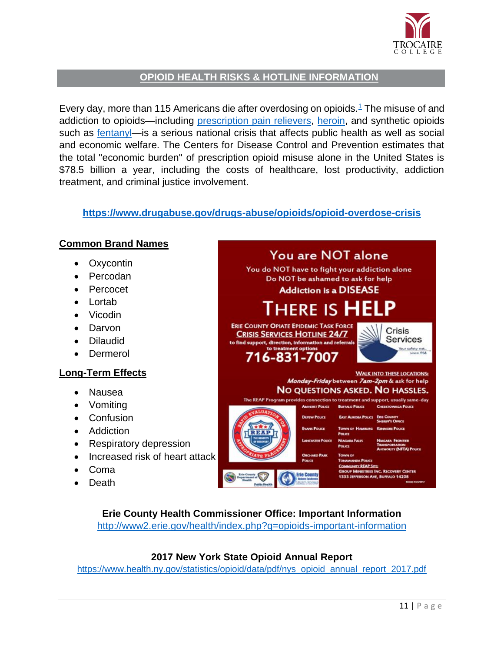

## **OPIOID HEALTH RISKS & HOTLINE INFORMATION**

Every day, more than [1](https://www.drugabuse.gov/drugs-abuse/opioids/opioid-overdose-crisis#one)15 Americans die after overdosing on opioids.<sup>1</sup> The misuse of and addiction to opioids—including [prescription pain relievers,](https://www.drugabuse.gov/publications/research-reports/misuse-prescription-drugs/which-classes-prescription-drugs-are-commonly-misused) [heroin,](https://www.drugabuse.gov/drugs-abuse/heroin) and synthetic opioids such as [fentanyl—](https://www.drugabuse.gov/drugs-abuse/fentanyl)is a serious national crisis that affects public health as well as social and economic welfare. The Centers for Disease Control and Prevention estimates that the total "economic burden" of prescription opioid misuse alone in the United States is \$78.5 billion a year, including the costs of healthcare, lost productivity, addiction treatment, and criminal justice involvement.

## **<https://www.drugabuse.gov/drugs-abuse/opioids/opioid-overdose-crisis>**



**Erie County Health Commissioner Office: Important Information** <http://www2.erie.gov/health/index.php?q=opioids-important-information>

## **2017 New York State Opioid Annual Report**

[https://www.health.ny.gov/statistics/opioid/data/pdf/nys\\_opioid\\_annual\\_report\\_2017.pdf](https://www.health.ny.gov/statistics/opioid/data/pdf/nys_opioid_annual_report_2017.pdf)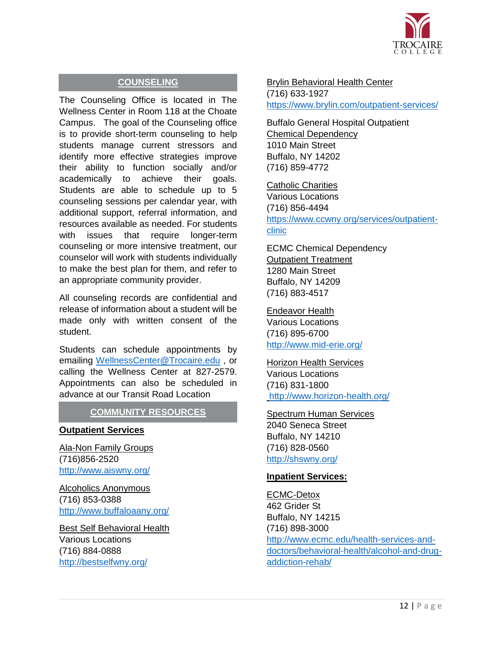

## **COUNSELING**

The Counseling Office is located in The Wellness Center in Room 118 at the Choate Campus. The goal of the Counseling office is to provide short-term counseling to help students manage current stressors and identify more effective strategies improve their ability to function socially and/or academically to achieve their goals. Students are able to schedule up to 5 counseling sessions per calendar year, with additional support, referral information, and resources available as needed. For students with issues that require longer-term counseling or more intensive treatment, our counselor will work with students individually to make the best plan for them, and refer to an appropriate community provider.

All counseling records are confidential and release of information about a student will be made only with written consent of the student.

Students can schedule appointments by emailing [WellnessCenter@Trocaire.edu](mailto:WellnessCenter@Trocaire.edu) , or calling the Wellness Center at 827-2579. Appointments can also be scheduled in advance at our Transit Road Location

## **COMMUNITY RESOURCES**

#### **Outpatient Services**

Ala-Non Family Groups (716)856-2520 <http://www.aiswny.org/>

Alcoholics Anonymous (716) 853-0388 <http://www.buffaloaany.org/>

Best Self Behavioral Health Various Locations (716) 884-0888 <http://bestselfwny.org/>

Brylin Behavioral Health Center

(716) 633-1927 <https://www.brylin.com/outpatient-services/>

Buffalo General Hospital Outpatient Chemical Dependency 1010 Main Street Buffalo, NY 14202 (716) 859-4772

Catholic Charities Various Locations (716) 856-4494 [https://www.ccwny.org/services/outpatient](https://www.ccwny.org/services/outpatient-clinic)[clinic](https://www.ccwny.org/services/outpatient-clinic)

ECMC Chemical Dependency Outpatient Treatment 1280 Main Street Buffalo, NY 14209 (716) 883-4517

Endeavor Health Various Locations (716) 895-6700 <http://www.mid-erie.org/>

## Horizon Health Services

Various Locations (716) 831-1800 <http://www.horizon-health.org/>

#### Spectrum Human Services

2040 Seneca Street Buffalo, NY 14210 (716) 828-0560 <http://shswny.org/>

#### **Inpatient Services:**

ECMC-Detox 462 Grider St Buffalo, NY 14215 (716) 898-3000 [http://www.ecmc.edu/health-services-and](http://www.ecmc.edu/health-services-and-doctors/behavioral-health/alcohol-and-drug-addiction-rehab/)[doctors/behavioral-health/alcohol-and-drug](http://www.ecmc.edu/health-services-and-doctors/behavioral-health/alcohol-and-drug-addiction-rehab/)[addiction-rehab/](http://www.ecmc.edu/health-services-and-doctors/behavioral-health/alcohol-and-drug-addiction-rehab/)